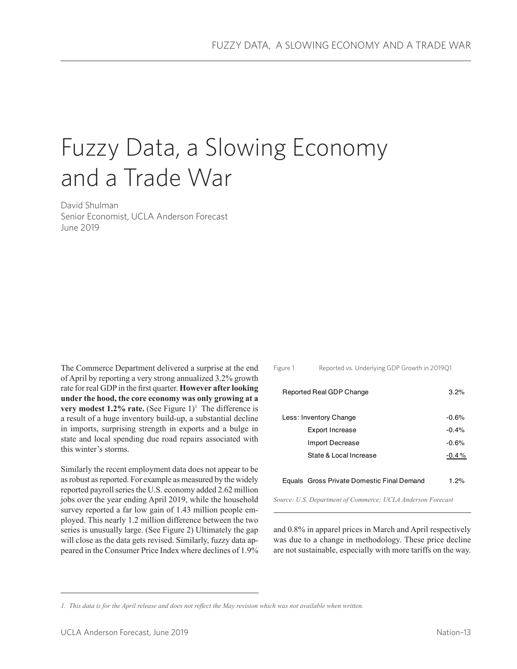# Fuzzy Data, a Slowing Economy and a Trade War

David Shulman Senior Economist, UCLA Anderson Forecast June 2019

The Commerce Department delivered a surprise at the end of April by reporting a very strong annualized 3.2% growth rate for real GDP in the first quarter. **However after looking under the hood, the core economy was only growing at a very modest 1.2% rate.** (See Figure  $1$ )<sup>1</sup> The difference is a result of a huge inventory build-up, a substantial decline in imports, surprising strength in exports and a bulge in state and local spending due road repairs associated with this winter's storms.

Similarly the recent employment data does not appear to be as robust as reported. For example as measured by the widely reported payroll series the U.S. economy added 2.62 million jobs over the year ending April 2019, while the household survey reported a far low gain of 1.43 million people employed. This nearly 1.2 million difference between the two series is unusually large. (See Figure 2) Ultimately the gap will close as the data gets revised. Similarly, fuzzy data appeared in the Consumer Price Index where declines of 1.9%

| Reported vs. Underlying GDP Growth in 201901<br>Figure 1 |                                            |         |
|----------------------------------------------------------|--------------------------------------------|---------|
|                                                          | Reported Real GDP Change                   | 3.2%    |
| Less: Inventory Change                                   |                                            | $-0.6%$ |
|                                                          | <b>Export Increase</b>                     | $-0.4%$ |
|                                                          | Import Decrease                            | $-0.6%$ |
|                                                          | State & Local Increase                     | $-0.4%$ |
|                                                          | Equals Gross Private Domestic Final Demand | 1 2%    |

*Source: U.S. Department of Commerce; UCLA Anderson Forecast*

and 0.8% in apparel prices in March and April respectively was due to a change in methodology. These price decline are not sustainable, especially with more tariffs on the way.

*<sup>1.</sup> This data is for the April release and does not reflect the May revision which was not available when written.*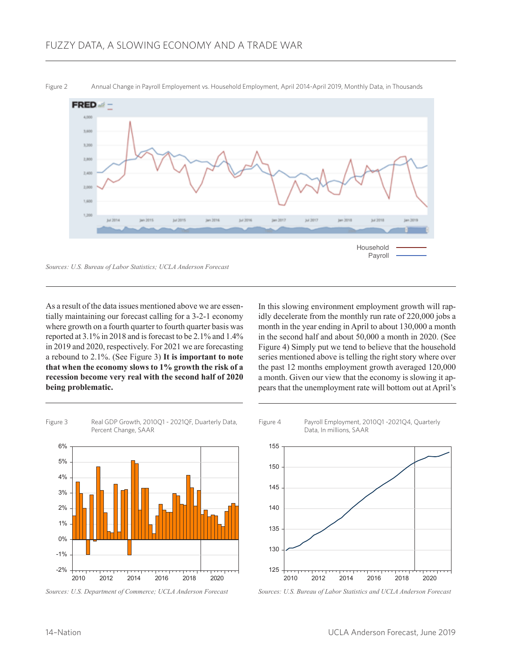

As a result of the data issues mentioned above we are essentially maintaining our forecast calling for a 3-2-1 economy where growth on a fourth quarter to fourth quarter basis was reported at 3.1% in 2018 and is forecast to be 2.1% and 1.4% in 2019 and 2020, respectively. For 2021 we are forecasting a rebound to 2.1%. (See Figure 3) **It is important to note that when the economy slows to 1% growth the risk of a recession become very real with the second half of 2020 being problematic.**

In this slowing environment employment growth will rapidly decelerate from the monthly run rate of 220,000 jobs a month in the year ending in April to about 130,000 a month in the second half and about 50,000 a month in 2020. (See Figure 4) Simply put we tend to believe that the household series mentioned above is telling the right story where over the past 12 months employment growth averaged 120,000 a month. Given our view that the economy is slowing it appears that the unemployment rate will bottom out at April's



*Sources: U.S. Department of Commerce; UCLA Anderson Forecast*



*Sources: U.S. Bureau of Labor Statistics and UCLA Anderson Forecast*

Figure 2 Annual Change in Payroll Employement vs. Household Employment, April 2014-April 2019, Monthly Data, in Thousands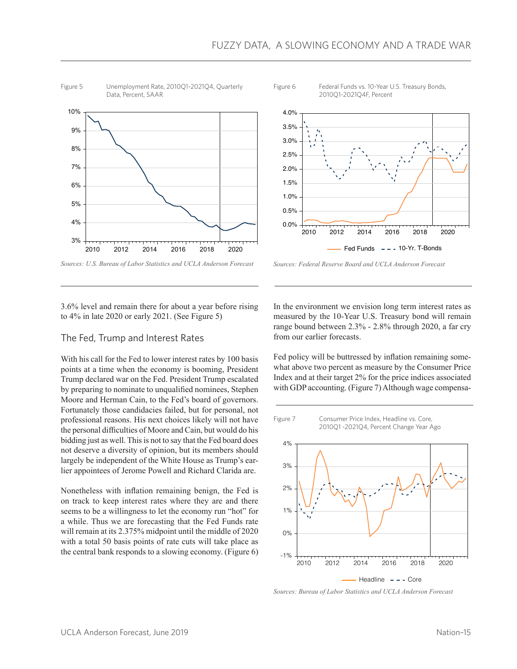





*Sources: U.S. Bureau of Labor Statistics and UCLA Anderson Forecast*



3.6% level and remain there for about a year before rising to 4% in late 2020 or early 2021. (See Figure 5)

### The Fed, Trump and Interest Rates

With his call for the Fed to lower interest rates by 100 basis points at a time when the economy is booming, President Trump declared war on the Fed. President Trump escalated by preparing to nominate to unqualified nominees, Stephen Moore and Herman Cain, to the Fed's board of governors. Fortunately those candidacies failed, but for personal, not professional reasons. His next choices likely will not have the personal difficulties of Moore and Cain, but would do his bidding just as well. This is not to say that the Fed board does not deserve a diversity of opinion, but its members should largely be independent of the White House as Trump's earlier appointees of Jerome Powell and Richard Clarida are.

Nonetheless with inflation remaining benign, the Fed is on track to keep interest rates where they are and there seems to be a willingness to let the economy run "hot" for a while. Thus we are forecasting that the Fed Funds rate will remain at its 2.375% midpoint until the middle of 2020 with a total 50 basis points of rate cuts will take place as the central bank responds to a slowing economy. (Figure 6)

In the environment we envision long term interest rates as measured by the 10-Year U.S. Treasury bond will remain range bound between 2.3% - 2.8% through 2020, a far cry from our earlier forecasts.

Fed policy will be buttressed by inflation remaining somewhat above two percent as measure by the Consumer Price Index and at their target 2% for the price indices associated with GDP accounting. (Figure 7) Although wage compensa-



*Sources: Bureau of Labor Statistics and UCLA Anderson Forecast*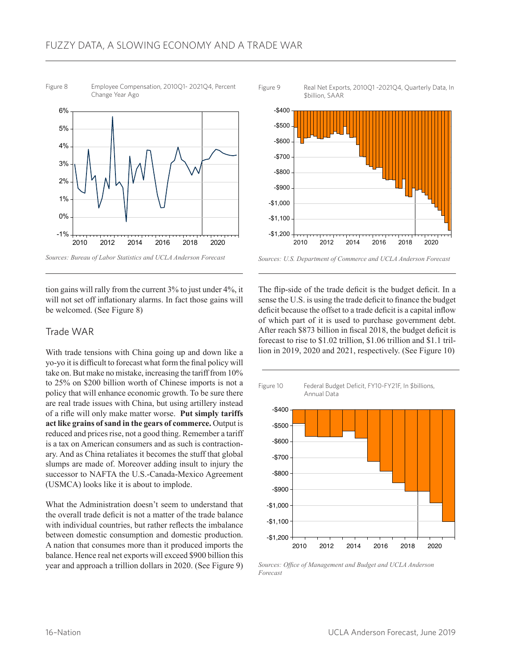

Figure 8 Employee Compensation, 2010Q1- 2021Q4, Percent Change Year Ago

Figure 9 Real Net Exports, 2010Q1 -2021Q4, Quarterly Data, In \$billion, SAAR



*Sources: U.S. Department of Commerce and UCLA Anderson Forecast*

tion gains will rally from the current 3% to just under 4%, it will not set off inflationary alarms. In fact those gains will be welcomed. (See Figure 8)

## Trade WAR

With trade tensions with China going up and down like a yo-yo it is difficult to forecast what form the final policy will take on. But make no mistake, increasing the tariff from 10% to 25% on \$200 billion worth of Chinese imports is not a policy that will enhance economic growth. To be sure there are real trade issues with China, but using artillery instead of a rifle will only make matter worse. **Put simply tariffs act like grains of sand in the gears of commerce.** Output is reduced and prices rise, not a good thing. Remember a tariff is a tax on American consumers and as such is contractionary. And as China retaliates it becomes the stuff that global slumps are made of. Moreover adding insult to injury the successor to NAFTA the U.S.-Canada-Mexico Agreement (USMCA) looks like it is about to implode.

What the Administration doesn't seem to understand that the overall trade deficit is not a matter of the trade balance with individual countries, but rather reflects the imbalance between domestic consumption and domestic production. A nation that consumes more than it produced imports the balance. Hence real net exports will exceed \$900 billion this year and approach a trillion dollars in 2020. (See Figure 9)

The flip-side of the trade deficit is the budget deficit. In a sense the U.S. is using the trade deficit to finance the budget deficit because the offset to a trade deficit is a capital inflow of which part of it is used to purchase government debt. After reach \$873 billion in fiscal 2018, the budget deficit is forecast to rise to \$1.02 trillion, \$1.06 trillion and \$1.1 trillion in 2019, 2020 and 2021, respectively. (See Figure 10)



*Sources: Office of Management and Budget and UCLA Anderson Forecast*